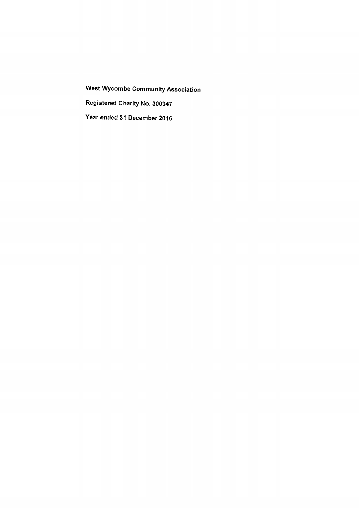West Wycombe Community Association Registered Charity No. 300347

Year ended 31 December 2016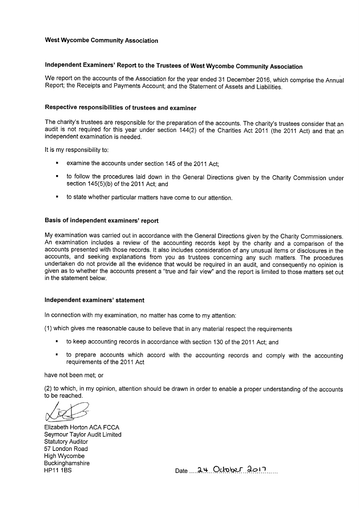## West Wycombe Community Association

## Independent Examiners' Report to the Trustees of West Wycombe Community Association

We report on the accounts of the Association for the year ended 31 December 2016, which comprise the Annual Report; the Receipts and Payments Account; and the Statement of Assets and Liabilities.

#### Respective responsibilities of trustees and examiner

The charity's trustees are responsible for the preparation of the accounts. The charity's trustees consider that an audit is not required for this year under section 144(2) of the Charities Act 2011 (the 2011 Act) and that an independent examination is needed.

lt is my responsibility to:

- examine the accounts under section 145 of the 2011 Act:
- <sup>~</sup> to follow the procedures laid down in the General Directions given by the Charity Commission under section 145(5)(b) of the 2011 Act; and
- to state whether particular matters have come to our attention.

### Basis of independent examiners' report

My examination was carried out in accordance with the General Directions given by the Charity Commissioners. An examination includes a review of the accounting records kept by the charity and a comparison of the accounts presented with those records. lt also includes consideration of any unusual items or disclosures in the accounts, and seeking explanations from you as trustees concerning any such matters. The procedures undertaken do not provide all the evidence that would be required in an audit, and consequently no opinion is given as to whether the accounts present a "true and fair view" and the report is limited to those matters set out in the statement below.

#### Independent examiners' statement

ln connection with my examination, no matter has come to my attention:

(1) which gives me reasonable cause to believe that in any material respect the requirements

- to keep accounting records in accordance with section 130 of the 2011 Act; and
- to prepare accounts which accord with the accounting records and comply with the accounting requirements of the 2011 Act

have not been met; or

(2) to which, in my opinion, attention should be drawn in order to enable a proper understanding of the accounts to be reached.

Elizabeth Horton ACA FCCA Seymour Taylor Audit Limited Statutory Auditor 57 London Road High Wycombe **Buckinghamshire** 

 $HP11 1BS$  Date  $.94.017...$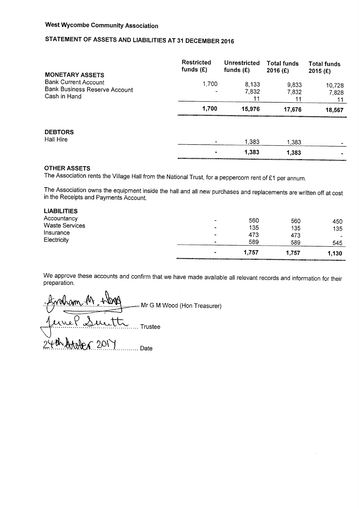## West Wycombe Community Association

## STATEMENT OF ASSETS AND LIABILITIES AT 31 DECEMBER 2016

| <b>MONETARY ASSETS</b>                                                              | Restricted<br>funds $(E)$ | <b>Unrestricted</b><br>funds $(E)$ | <b>Total funds</b><br>$2016$ (£) | <b>Total funds</b><br>2015 $(E)$ |
|-------------------------------------------------------------------------------------|---------------------------|------------------------------------|----------------------------------|----------------------------------|
| <b>Bank Current Account</b><br><b>Bank Business Reserve Account</b><br>Cash in Hand | 1,700<br>                 | 8,133<br>7,832<br>11               | 9,833<br>7,832<br>11             | 10,728<br>7,828<br>11            |
|                                                                                     | 1,700                     | 15,976                             | 17,676                           | 18,567                           |
| <b>DEBTORS</b><br><b>Hall Hire</b>                                                  | $\blacksquare$            | 1.383                              | 1,383                            |                                  |
|                                                                                     | $\blacksquare$            | 1,383                              | 1.383                            |                                  |

### OTHER ASSETS

The Association rents the Village Hall from the National Trust, for a peppercorn rent of E1 per annum.

The Association owns the equipment inside the hall and all new purchases and replacements are written off at cost in the Receipts and Payments Account.

|                       | $\blacksquare$ | 1,757 | 1,757 | 1,130 |
|-----------------------|----------------|-------|-------|-------|
| Electricity           | <b>SHOP</b>    | 589   | 589   | 545   |
| Insurance             | $\bullet$      | 473   | 473   | ۰     |
| <b>Waste Services</b> | $\sim$         | 135   | 135   | 135   |
| Accountancy           | $\bullet$      | 560   | 560   | 450   |
| <b>LIABILITIES</b>    |                |       |       |       |

We approve these accounts and confirm that we have made available all relevant records and information for their preparation.

.. Mr G M Wood (Hon Treasurer)  $\tilde{z}$ ..... Trustee ....... Date